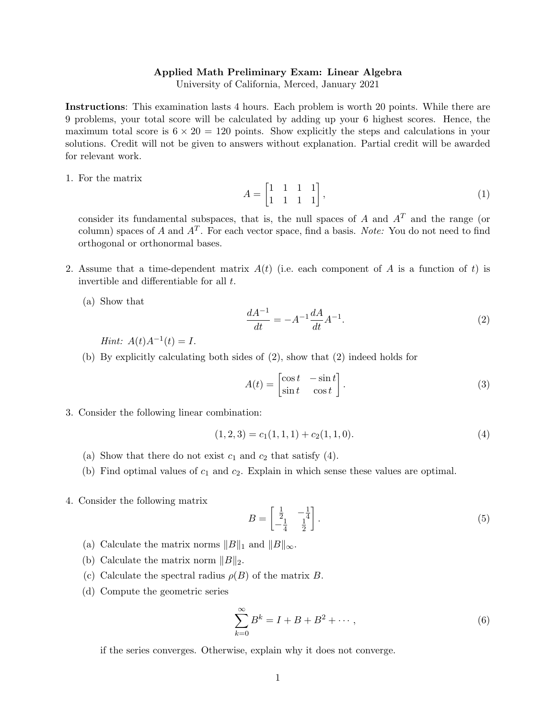## Applied Math Preliminary Exam: Linear Algebra

University of California, Merced, January 2021

Instructions: This examination lasts 4 hours. Each problem is worth 20 points. While there are 9 problems, your total score will be calculated by adding up your 6 highest scores. Hence, the maximum total score is  $6 \times 20 = 120$  points. Show explicitly the steps and calculations in your solutions. Credit will not be given to answers without explanation. Partial credit will be awarded for relevant work.

1. For the matrix

$$
A = \begin{bmatrix} 1 & 1 & 1 & 1 \\ 1 & 1 & 1 & 1 \end{bmatrix}, \tag{1}
$$

consider its fundamental subspaces, that is, the null spaces of  $A$  and  $A<sup>T</sup>$  and the range (or column) spaces of A and  $A<sup>T</sup>$ . For each vector space, find a basis. Note: You do not need to find orthogonal or orthonormal bases.

2. Assume that a time-dependent matrix  $A(t)$  (i.e. each component of A is a function of t) is invertible and differentiable for all t.

(a) Show that

$$
\frac{dA^{-1}}{dt} = -A^{-1}\frac{dA}{dt}A^{-1}.
$$
\n(2)

*Hint*:  $A(t)A^{-1}(t) = I$ .

(b) By explicitly calculating both sides of (2), show that (2) indeed holds for

$$
A(t) = \begin{bmatrix} \cos t & -\sin t \\ \sin t & \cos t \end{bmatrix}.
$$
 (3)

3. Consider the following linear combination:

$$
(1,2,3) = c_1(1,1,1) + c_2(1,1,0). \tag{4}
$$

- (a) Show that there do not exist  $c_1$  and  $c_2$  that satisfy (4).
- (b) Find optimal values of  $c_1$  and  $c_2$ . Explain in which sense these values are optimal.
- 4. Consider the following matrix

$$
B = \begin{bmatrix} \frac{1}{2} & -\frac{1}{4} \\ -\frac{1}{4} & \frac{1}{2} \end{bmatrix} .
$$
 (5)

- (a) Calculate the matrix norms  $||B||_1$  and  $||B||_{\infty}$ .
- (b) Calculate the matrix norm  $||B||_2$ .
- (c) Calculate the spectral radius  $\rho(B)$  of the matrix B.
- (d) Compute the geometric series

$$
\sum_{k=0}^{\infty} B^k = I + B + B^2 + \dotsb,
$$
\n(6)

if the series converges. Otherwise, explain why it does not converge.